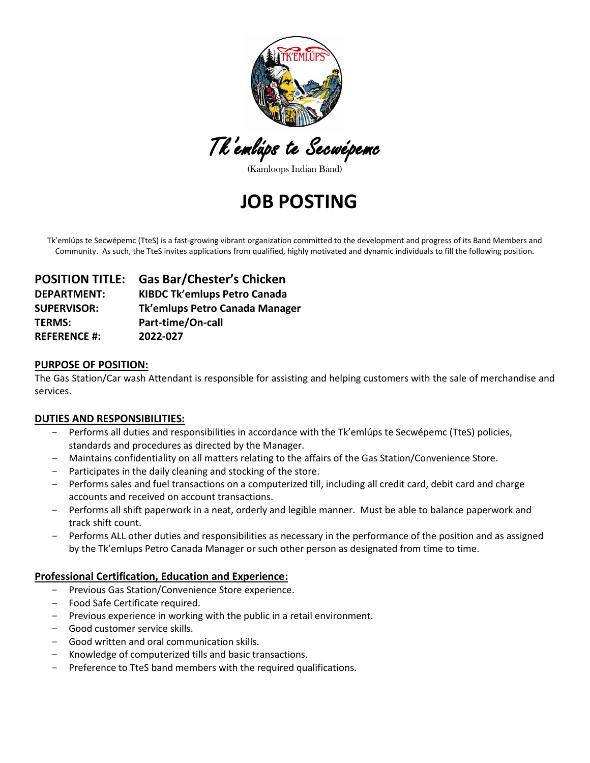

Tk'emlúps te Secwépemc

(Kamloops Indian Band)

## **JOB POSTING**

Tk'emlúps te Secwépemc (TteS) is a fast-growing vibrant organization committed to the development and progress of its Band Members and Community. As such, the TteS invites applications from qualified, highly motivated and dynamic individuals to fill the following position.

| <b>POSITION TITLE:</b> | <b>Gas Bar/Chester's Chicken</b>    |
|------------------------|-------------------------------------|
| <b>DEPARTMENT:</b>     | <b>KIBDC Tk'emlups Petro Canada</b> |
| <b>SUPERVISOR:</b>     | Tk'emlups Petro Canada Manager      |
| <b>TERMS:</b>          | Part-time/On-call                   |
| <b>REFERENCE #:</b>    | 2022-027                            |

#### **PURPOSE OF POSITION:**

The Gas Station/Car wash Attendant is responsible for assisting and helping customers with the sale of merchandise and services.

#### **DUTIES AND RESPONSIBILITIES:**

- Performs all duties and responsibilities in accordance with the Tk'emlúps te Secwépemc (TteS) policies, standards and procedures as directed by the Manager.
- Maintains confidentiality on all matters relating to the affairs of the Gas Station/Convenience Store.
- Participates in the daily cleaning and stocking of the store.
- Performs sales and fuel transactions on a computerized till, including all credit card, debit card and charge accounts and received on account transactions.
- Performs all shift paperwork in a neat, orderly and legible manner. Must be able to balance paperwork and track shift count.
- Performs ALL other duties and responsibilities as necessary in the performance of the position and as assigned by the Tk'emlups Petro Canada Manager or such other person as designated from time to time.

### **Professional Certification, Education and Experience:**

- Previous Gas Station/Convenience Store experience.
- Food Safe Certificate required.
- Previous experience in working with the public in a retail environment.
- Good customer service skills.
- Good written and oral communication skills.
- Knowledge of computerized tills and basic transactions.
- Preference to TteS band members with the required qualifications.